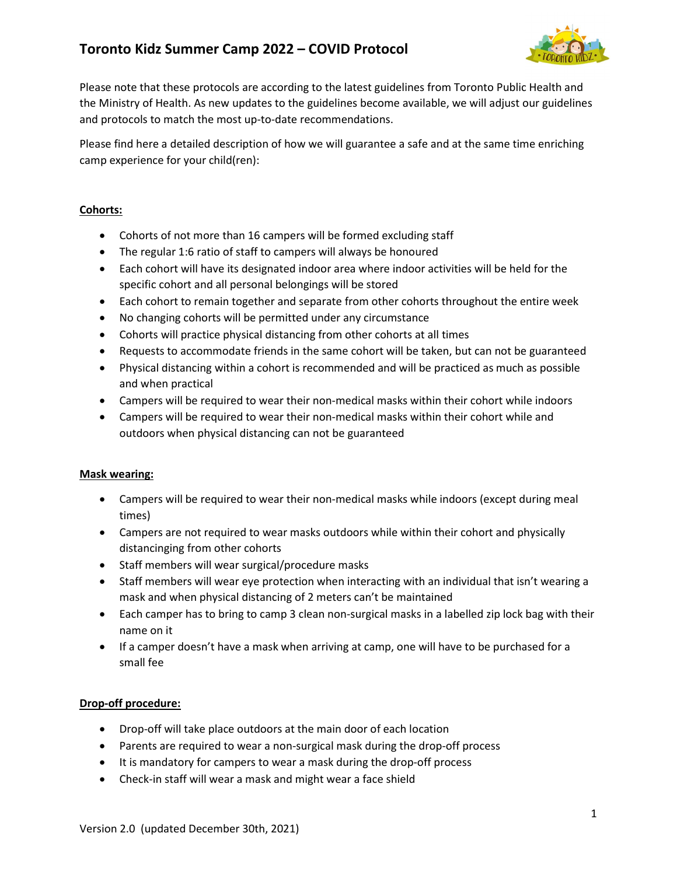

Please note that these protocols are according to the latest guidelines from Toronto Public Health and the Ministry of Health. As new updates to the guidelines become available, we will adjust our guidelines and protocols to match the most up-to-date recommendations.

Please find here a detailed description of how we will guarantee a safe and at the same time enriching camp experience for your child(ren):

## Cohorts:

- Cohorts of not more than 16 campers will be formed excluding staff
- The regular 1:6 ratio of staff to campers will always be honoured
- Each cohort will have its designated indoor area where indoor activities will be held for the specific cohort and all personal belongings will be stored
- Each cohort to remain together and separate from other cohorts throughout the entire week
- No changing cohorts will be permitted under any circumstance
- Cohorts will practice physical distancing from other cohorts at all times
- Requests to accommodate friends in the same cohort will be taken, but can not be guaranteed
- Physical distancing within a cohort is recommended and will be practiced as much as possible and when practical
- Campers will be required to wear their non-medical masks within their cohort while indoors
- Campers will be required to wear their non-medical masks within their cohort while and outdoors when physical distancing can not be guaranteed

## Mask wearing:

- Campers will be required to wear their non-medical masks while indoors (except during meal times)
- Campers are not required to wear masks outdoors while within their cohort and physically distancinging from other cohorts
- Staff members will wear surgical/procedure masks
- Staff members will wear eye protection when interacting with an individual that isn't wearing a mask and when physical distancing of 2 meters can't be maintained
- Each camper has to bring to camp 3 clean non-surgical masks in a labelled zip lock bag with their name on it
- If a camper doesn't have a mask when arriving at camp, one will have to be purchased for a small fee

## Drop-off procedure:

- Drop-off will take place outdoors at the main door of each location
- Parents are required to wear a non-surgical mask during the drop-off process
- It is mandatory for campers to wear a mask during the drop-off process
- Check-in staff will wear a mask and might wear a face shield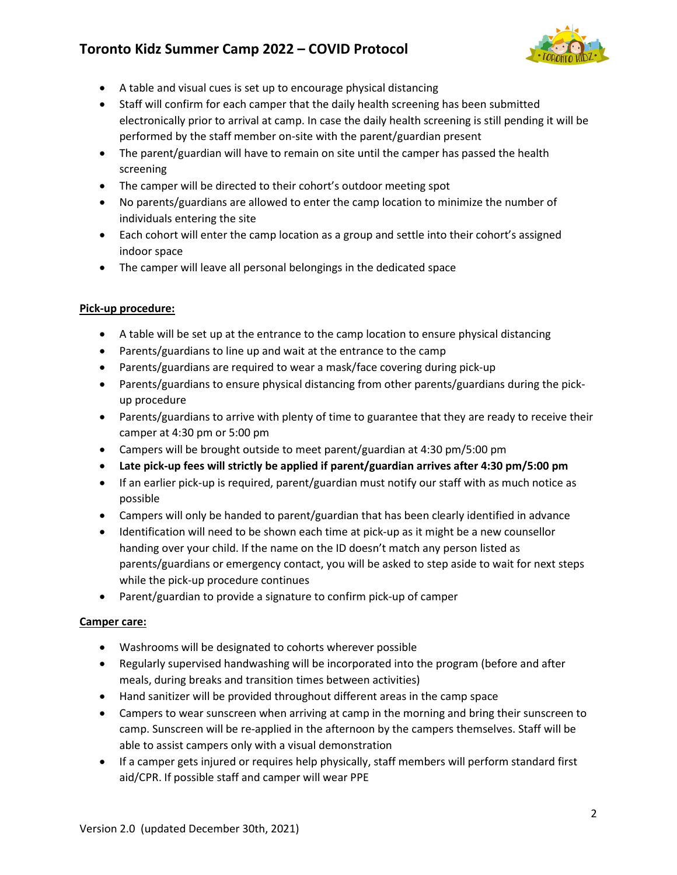

- A table and visual cues is set up to encourage physical distancing
- Staff will confirm for each camper that the daily health screening has been submitted electronically prior to arrival at camp. In case the daily health screening is still pending it will be performed by the staff member on-site with the parent/guardian present
- The parent/guardian will have to remain on site until the camper has passed the health screening
- The camper will be directed to their cohort's outdoor meeting spot
- No parents/guardians are allowed to enter the camp location to minimize the number of individuals entering the site
- Each cohort will enter the camp location as a group and settle into their cohort's assigned indoor space
- The camper will leave all personal belongings in the dedicated space

## Pick-up procedure:

- A table will be set up at the entrance to the camp location to ensure physical distancing
- Parents/guardians to line up and wait at the entrance to the camp
- Parents/guardians are required to wear a mask/face covering during pick-up
- Parents/guardians to ensure physical distancing from other parents/guardians during the pickup procedure
- Parents/guardians to arrive with plenty of time to guarantee that they are ready to receive their camper at 4:30 pm or 5:00 pm
- Campers will be brought outside to meet parent/guardian at 4:30 pm/5:00 pm
- Late pick-up fees will strictly be applied if parent/guardian arrives after 4:30 pm/5:00 pm
- If an earlier pick-up is required, parent/guardian must notify our staff with as much notice as possible
- Campers will only be handed to parent/guardian that has been clearly identified in advance
- Identification will need to be shown each time at pick-up as it might be a new counsellor handing over your child. If the name on the ID doesn't match any person listed as parents/guardians or emergency contact, you will be asked to step aside to wait for next steps while the pick-up procedure continues
- Parent/guardian to provide a signature to confirm pick-up of camper

#### Camper care:

- Washrooms will be designated to cohorts wherever possible
- Regularly supervised handwashing will be incorporated into the program (before and after meals, during breaks and transition times between activities)
- Hand sanitizer will be provided throughout different areas in the camp space
- Campers to wear sunscreen when arriving at camp in the morning and bring their sunscreen to camp. Sunscreen will be re-applied in the afternoon by the campers themselves. Staff will be able to assist campers only with a visual demonstration
- If a camper gets injured or requires help physically, staff members will perform standard first aid/CPR. If possible staff and camper will wear PPE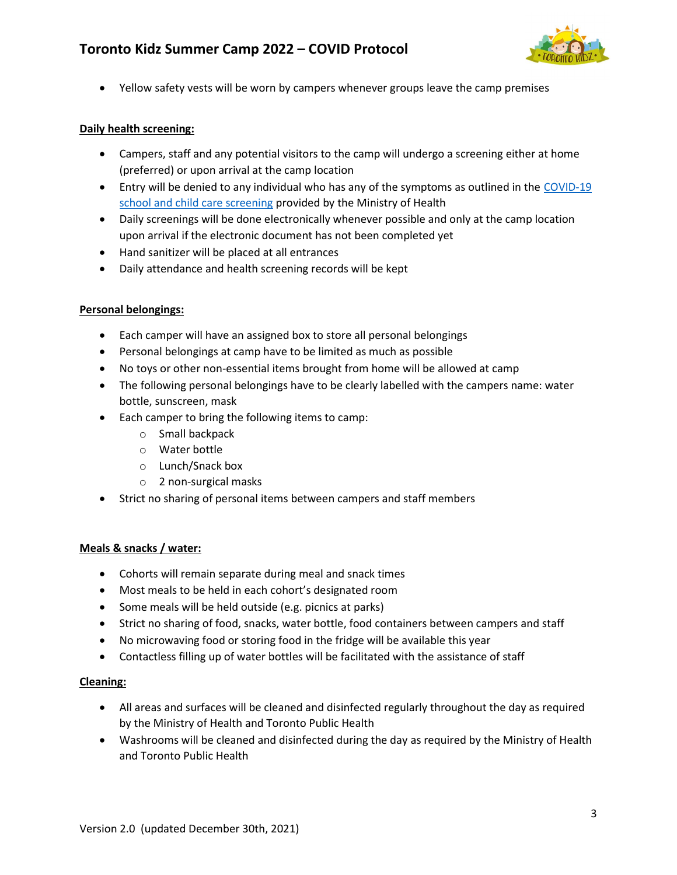

Yellow safety vests will be worn by campers whenever groups leave the camp premises

### Daily health screening:

- Campers, staff and any potential visitors to the camp will undergo a screening either at home (preferred) or upon arrival at the camp location
- **Entry will be denied to any individual who has any of the symptoms as outlined in the COVID-19** school and child care screening provided by the Ministry of Health
- Daily screenings will be done electronically whenever possible and only at the camp location upon arrival if the electronic document has not been completed yet
- Hand sanitizer will be placed at all entrances
- Daily attendance and health screening records will be kept

#### Personal belongings:

- Each camper will have an assigned box to store all personal belongings
- Personal belongings at camp have to be limited as much as possible
- No toys or other non-essential items brought from home will be allowed at camp
- The following personal belongings have to be clearly labelled with the campers name: water bottle, sunscreen, mask
- Each camper to bring the following items to camp:
	- o Small backpack
	- o Water bottle
	- o Lunch/Snack box
	- o 2 non-surgical masks
- Strict no sharing of personal items between campers and staff members

## Meals & snacks / water:

- Cohorts will remain separate during meal and snack times
- Most meals to be held in each cohort's designated room
- Some meals will be held outside (e.g. picnics at parks)
- Strict no sharing of food, snacks, water bottle, food containers between campers and staff
- No microwaving food or storing food in the fridge will be available this year
- Contactless filling up of water bottles will be facilitated with the assistance of staff

## Cleaning:

- All areas and surfaces will be cleaned and disinfected regularly throughout the day as required by the Ministry of Health and Toronto Public Health
- Washrooms will be cleaned and disinfected during the day as required by the Ministry of Health and Toronto Public Health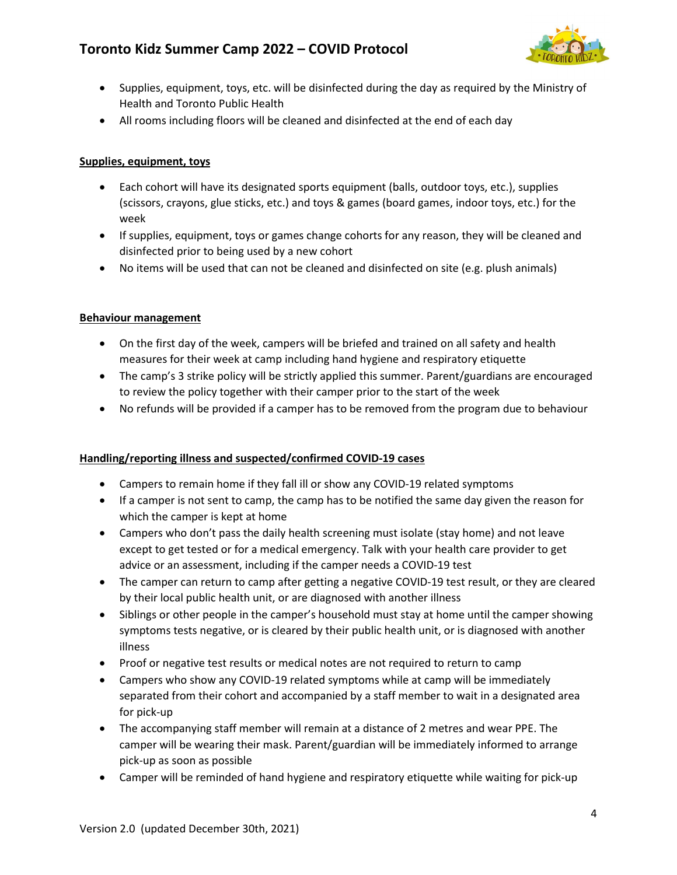

- Supplies, equipment, toys, etc. will be disinfected during the day as required by the Ministry of Health and Toronto Public Health
- All rooms including floors will be cleaned and disinfected at the end of each day

# Supplies, equipment, toys

- Each cohort will have its designated sports equipment (balls, outdoor toys, etc.), supplies (scissors, crayons, glue sticks, etc.) and toys & games (board games, indoor toys, etc.) for the week
- If supplies, equipment, toys or games change cohorts for any reason, they will be cleaned and disinfected prior to being used by a new cohort
- No items will be used that can not be cleaned and disinfected on site (e.g. plush animals)

# Behaviour management

- On the first day of the week, campers will be briefed and trained on all safety and health measures for their week at camp including hand hygiene and respiratory etiquette
- The camp's 3 strike policy will be strictly applied this summer. Parent/guardians are encouraged to review the policy together with their camper prior to the start of the week
- No refunds will be provided if a camper has to be removed from the program due to behaviour

# Handling/reporting illness and suspected/confirmed COVID-19 cases

- Campers to remain home if they fall ill or show any COVID-19 related symptoms
- If a camper is not sent to camp, the camp has to be notified the same day given the reason for which the camper is kept at home
- Campers who don't pass the daily health screening must isolate (stay home) and not leave except to get tested or for a medical emergency. Talk with your health care provider to get advice or an assessment, including if the camper needs a COVID-19 test
- The camper can return to camp after getting a negative COVID-19 test result, or they are cleared by their local public health unit, or are diagnosed with another illness
- Siblings or other people in the camper's household must stay at home until the camper showing symptoms tests negative, or is cleared by their public health unit, or is diagnosed with another illness
- Proof or negative test results or medical notes are not required to return to camp
- Campers who show any COVID-19 related symptoms while at camp will be immediately separated from their cohort and accompanied by a staff member to wait in a designated area for pick-up
- The accompanying staff member will remain at a distance of 2 metres and wear PPE. The camper will be wearing their mask. Parent/guardian will be immediately informed to arrange pick-up as soon as possible
- Camper will be reminded of hand hygiene and respiratory etiquette while waiting for pick-up